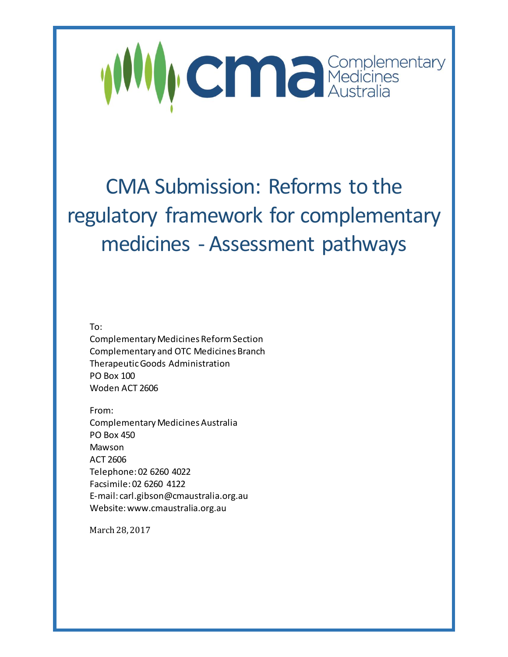

# CMA Submission: Reforms to the regulatory framework for complementary medicines - Assessment pathways

To:

Complementary Medicines Reform Section Complementary and OTC Medicines Branch Therapeutic Goods Administration PO Box 100 Woden ACT 2606

From:

Complementary Medicines Australia PO Box 450 Mawson ACT 2606 Telephone: 02 6260 4022 Facsimile: 02 6260 4122 E-mail: carl.gibson@cmaustralia.org.au Website: www.cmaustralia.org.au

March 28, 2017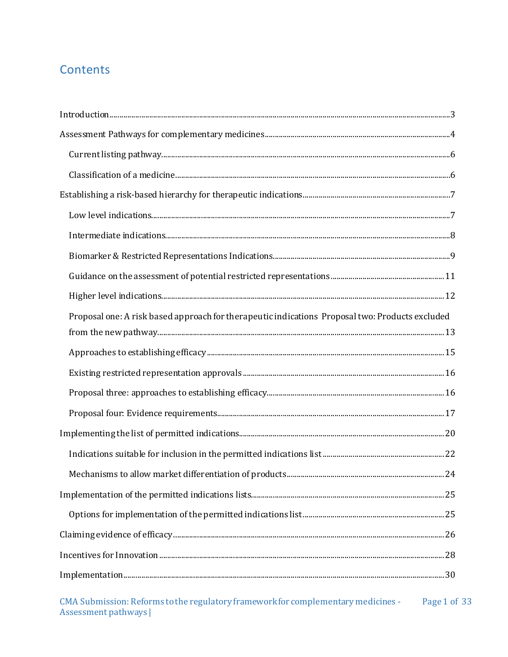# **Contents**

| Introduction 33                                                                                 |  |
|-------------------------------------------------------------------------------------------------|--|
|                                                                                                 |  |
|                                                                                                 |  |
|                                                                                                 |  |
|                                                                                                 |  |
|                                                                                                 |  |
|                                                                                                 |  |
|                                                                                                 |  |
|                                                                                                 |  |
|                                                                                                 |  |
| Proposal one: A risk based approach for therapeutic indications Proposal two: Products excluded |  |
|                                                                                                 |  |
|                                                                                                 |  |
|                                                                                                 |  |
|                                                                                                 |  |
|                                                                                                 |  |
|                                                                                                 |  |
|                                                                                                 |  |
|                                                                                                 |  |
|                                                                                                 |  |
|                                                                                                 |  |
|                                                                                                 |  |
|                                                                                                 |  |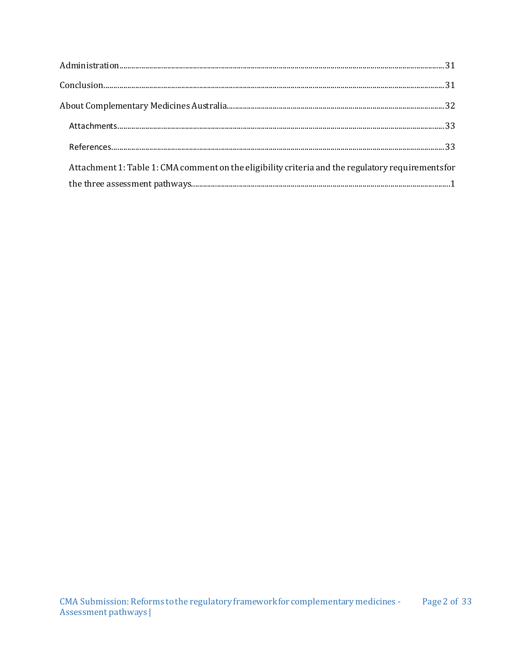| Attachment 1: Table 1: CMA comment on the eligibility criteria and the regulatory requirements for |  |
|----------------------------------------------------------------------------------------------------|--|
|                                                                                                    |  |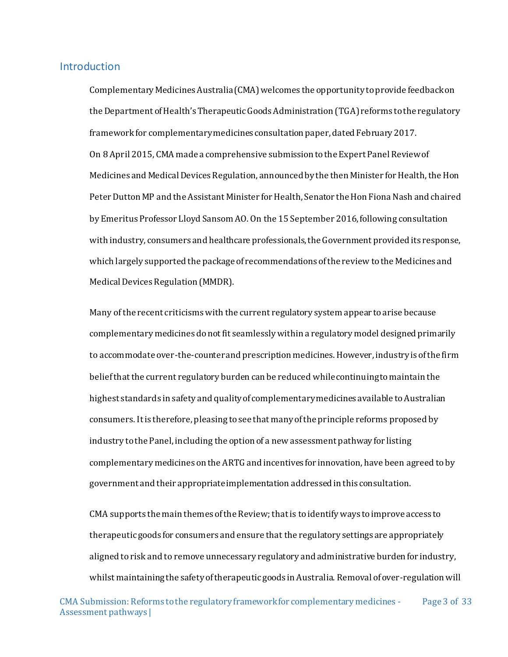#### <span id="page-3-0"></span>**Introduction**

Complementary Medicines Australia (CMA) welcomes the opportunity to provide feedback on theDepartment of Health's Therapeutic Goods Administration (TGA) reforms to the regulatory framework for complementary medicines consultation paper, dated February 2017. On 8 April 2015, CMA made a comprehensive submission to the Expert Panel Review of Medicines and Medical Devices Regulation, announced by the then Minister for Health, the Hon Peter Dutton MP and the Assistant Minister for Health, Senator the Hon Fiona Nash and chaired by Emeritus Professor Lloyd Sansom AO. On the 15 September 2016, following consultation with industry, consumers and healthcare professionals, the Government provided its response, which largely supported the package of recommendations of the review to the Medicines and Medical Devices Regulation (MMDR).

Many of the recent criticisms with the current regulatory system appear to arise because complementary medicines do not fit seamlessly within a regulatory model designed primarily to accommodate over-the-counter and prescription medicines. However, industry is of the firm belief that the current regulatory burden can be reduced while continuing to maintain the highest standards in safety and quality of complementary medicines available to Australian consumers. It is therefore, pleasing to see that many of the principle reforms proposed by industry to the Panel, including the option of a new assessment pathway for listing complementary medicines on the ARTG and incentives for innovation, have been agreed to by government and their appropriate implementation addressed in this consultation.

CMA supports the main themes of the Review; that is to identify ways to improve access to therapeutic goods for consumers and ensure that the regulatory settings are appropriately aligned to risk and to remove unnecessary regulatory and administrative burden for industry, whilst maintaining the safety of therapeutic goods in Australia. Removal of over-regulation will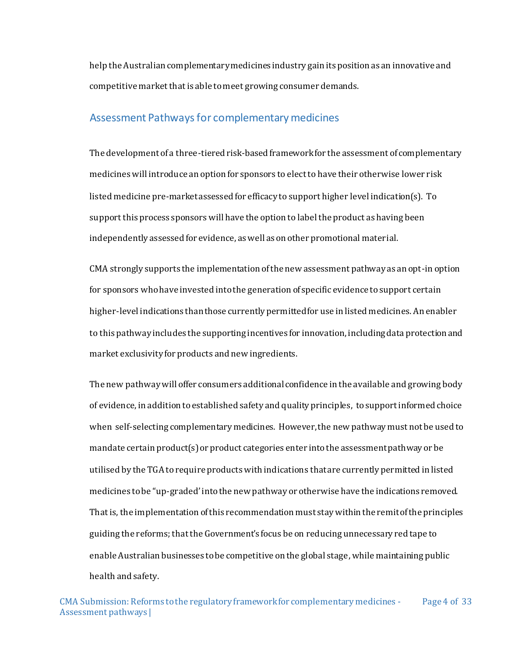help the Australian complementary medicines industry gain its position as an innovative and competitive market that is able to meet growing consumer demands.

# <span id="page-4-0"></span>Assessment Pathways for complementary medicines

The development of a three-tiered risk-based framework for the assessment of complementary medicines will introduce an option for sponsors to elect to have their otherwise lower risk listed medicine pre-market assessed for efficacy to support higher level indication(s). To support this process sponsors will have the option to label the product as having been independently assessed for evidence, as well as on other promotional material.

CMA strongly supports the implementation of the new assessment pathway as an opt-in option for sponsors who have invested into the generation of specific evidence to support certain higher-level indications than those currently permitted for use in listed medicines. An enabler to this pathway includes the supporting incentives for innovation, including data protection and market exclusivity for products and new ingredients.

The new pathway will offer consumers additional confidence in the available and growing body of evidence, in addition to established safety and quality principles, to support informed choice when self-selecting complementary medicines. However, the new pathway must not be used to mandate certain product(s) or product categories enter into the assessment pathway or be utilised by the TGA to require products with indications that are currently permitted in listed medicines to be "up-graded' into the new pathway or otherwise have the indications removed. That is, the implementation of this recommendation must stay within the remit of the principles guiding the reforms; that the Government's focus be on reducing unnecessary red tape to enable Australian businesses to be competitive on the global stage, while maintaining public health and safety.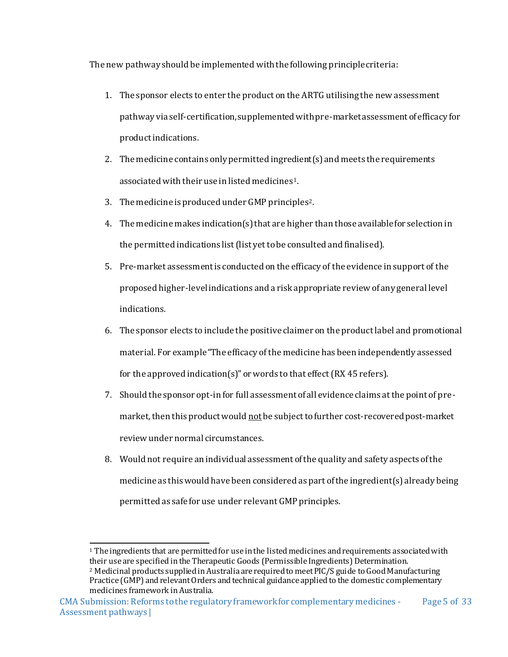The new pathway should be implemented with the following principle criteria:

- 1. The sponsor elects to enter the product on the ARTG utilising the new assessment pathway via self-certification, supplemented with pre-market assessment of efficacy for product indications.
- 2. The medicine contains only permitted ingredient(s) and meets the requirements associated with their use in listed medicines1.
- 3. The medicine is produced under GMP principles2.
- 4. The medicine makes indication(s) that are higher than those available for selection in the permitted indications list (list yet to be consulted and finalised).
- 5. Pre-market assessment is conducted on the efficacy of the evidence in support of the proposed higher-level indications and a risk appropriate review of any general level indications.
- 6. The sponsor elects to include the positive claimer on the product label and promotional material. For example "The efficacy of the medicine has been independently assessed for the approved indication(s)" or words to that effect (RX 45 refers).
- 7. Should the sponsor opt-in for full assessment of all evidence claims at the point of premarket, then this product would not be subject to further cost-recovered post-market review under normal circumstances.
- 8. Would not require an individual assessment of the quality and safety aspects of the medicine as this would have been considered as part of the ingredient(s) already being permitted as safe for use under relevant GMP principles.

<sup>1</sup> The ingredients that are permitted for use in the listed medicines and requirements associated with their use are specified in the Therapeutic Goods (Permissible Ingredients) Determination.

<sup>2</sup> Medicinal products supplied in Australia are required to meet PIC/S guide to Good Manufacturing Practice (GMP) and relevant Orders and technical guidance applied to the domestic complementary medicines framework in Australia.

CMA Submission: Reforms to the regulatory framework for complementary medicines - Assessment pathways | Page 5 of 33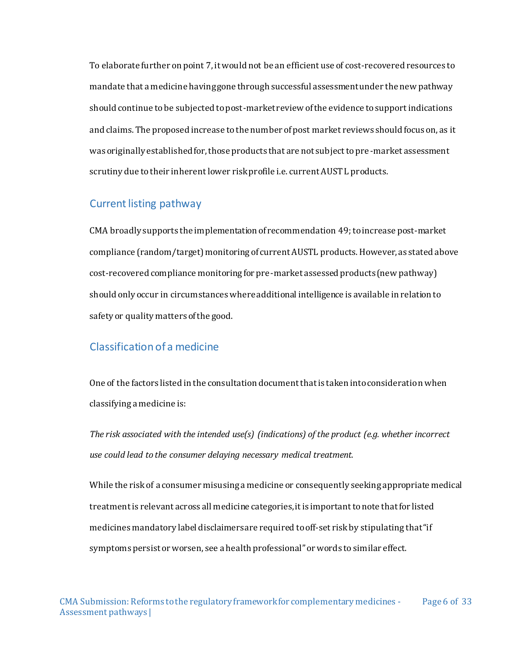To elaborate further on point 7, it would not be an efficient use of cost-recovered resources to mandate that a medicine having gone through successful assessment under the new pathway should continue to be subjected to post-market review of the evidence to support indications and claims. The proposed increase to the number of post market reviews should focus on, as it was originally established for, those products that are not subject to pre-market assessment scrutiny due to their inherent lower risk profile i.e. current AUST L products.

#### <span id="page-6-0"></span>Current listing pathway

CMA broadly supports the implementation of recommendation 49; toincrease post-market compliance (random/target) monitoring of current AUSTL products. However, as stated above cost-recovered compliance monitoring for pre-market assessed products (new pathway) should only occur in circumstances whereadditional intelligence is available in relation to safety or quality matters of the good.

#### <span id="page-6-1"></span>Classification of a medicine

One of the factors listed in the consultation document that is taken into consideration when classifying a medicine is:

*The risk associated with the intended use(s) (indications) of the product (e.g. whether incorrect use could lead to the consumer delaying necessary medical treatment.* 

While the risk of a consumer misusing a medicine or consequently seeking appropriate medical treatment is relevant across all medicine categories, it is important to note that for listed medicines mandatory label disclaimers are required to off-set risk by stipulating that "if symptoms persist or worsen, see a health professional" or words to similar effect.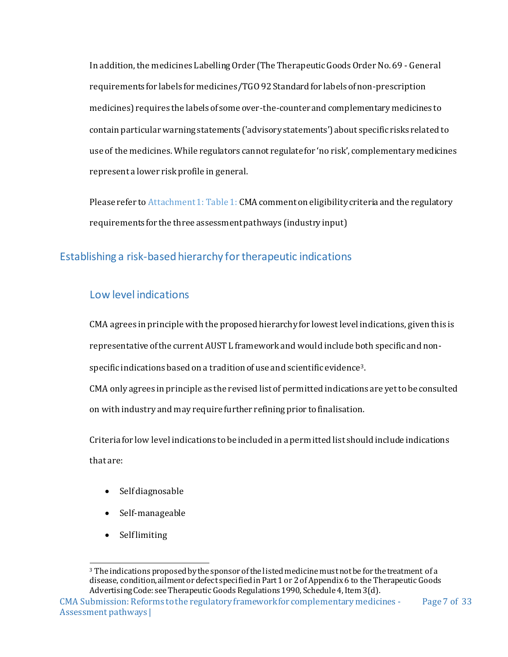In addition, the medicines Labelling Order (The Therapeutic Goods Order No. 69 - General requirements for labels for medicines/TGO 92 Standard for labels of non-prescription medicines) requires the labels of some over-the-counter and complementary medicines to contain particular warning statements ('advisory statements') about specific risks related to use of the medicines. While regulators cannot regulate for 'no risk', complementary medicines represent a lower risk profile in general.

Please refer to Attachment 1: Table 1: CMA comment on eligibility criteria and the regulatory requirements for the three assessment pathways (industry input)

# <span id="page-7-0"></span>Establishing a risk-based hierarchy for therapeutic indications

# <span id="page-7-1"></span>Low level indications

CMA agrees in principle with the proposed hierarchy for lowest level indications, given this is representative of the current AUST L framework and would include both specific and nonspecific indications based on a tradition of use and scientific evidence3. CMA only agrees in principle as the revised list of permitted indications are yet to be consulted

on with industry and may require further refining prior to finalisation.

Criteria for low level indications to be included in a permitted list should include indications that are:

- Self diagnosable
- Self-manageable
- $\bullet$  Self limiting

 <sup>3</sup> The indications proposed by the sponsor of the listed medicine must not be for the treatment of a disease, condition, ailment or defect specified in Part 1 or 2 of Appendix 6 to the Therapeutic Goods Advertising Code: see Therapeutic Goods Regulations 1990, Schedule 4, Item 3(d).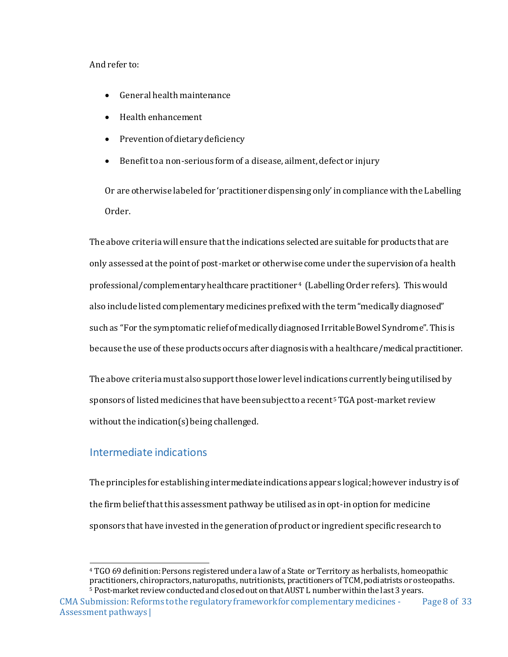#### And refer to:

- General health maintenance
- Health enhancement
- Prevention of dietary deficiency
- Benefit to a non-serious form of a disease, ailment, defect or injury

Or are otherwise labeled for 'practitioner dispensing only' in compliance with the Labelling Order.

The above criteria will ensure that the indications selected are suitable for products that are only assessed at the point of post-market or otherwise come under the supervision of a health professional/complementary healthcare practitioner4 (Labelling Order refers). This would also include listed complementary medicines prefixed with the term "medically diagnosed" such as "For the symptomatic relief of medically diagnosed Irritable Bowel Syndrome". This is because the use of these products occurs after diagnosis with a healthcare/medical practitioner.

The above criteria must also support those lower level indications currently being utilised by sponsors of listed medicines that have been subject to a recent5TGA post-market review without the indication(s) being challenged.

# <span id="page-8-0"></span>Intermediate indications

The principles for establishing intermediate indications appears logical;however industry is of the firm belief that this assessment pathway be utilised as in opt-in option for medicine sponsors that have invested in the generation of product or ingredient specific research to

<sup>4</sup> TGO 69 definition: Persons registered under a law of a State or Territory as herbalists, homeopathic practitioners, chiropractors, naturopaths, nutritionists, practitioners of TCM, podiatrists or osteopaths. <sup>5</sup> Post-market review conducted and closed out on that AUST L number within the last 3 years.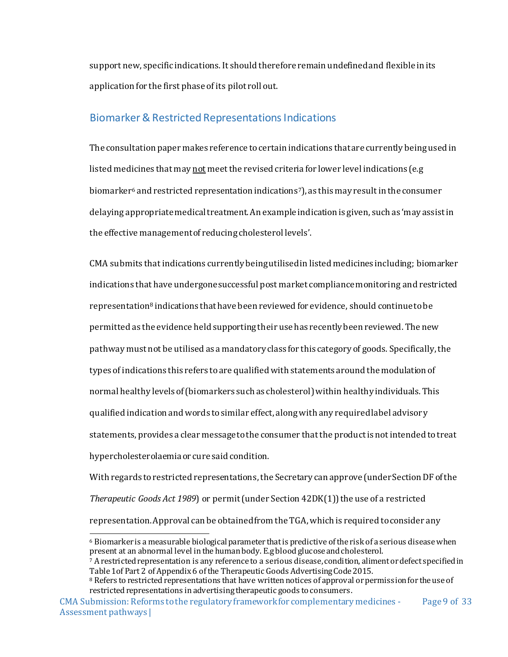support new, specific indications. It should therefore remain undefined and flexible in its application for the first phase of its pilot roll out.

#### <span id="page-9-0"></span>Biomarker & Restricted Representations Indications

The consultation paper makes reference to certain indications that are currently being used in listed medicines that may not meet the revised criteria for lower level indications (e.g biomarker<sup>6</sup> and restricted representation indications<sup>7</sup>), as this may result in the consumer delaying appropriate medical treatment. An example indication is given, such as 'may assist in the effective management of reducing cholesterol levels'.

CMA submits that indications currently being utilised in listed medicines including; biomarker indications that have undergone successful post market compliance monitoring and restricted representation<sup>8</sup> indications that have been reviewed for evidence, should continue to be permitted as the evidence held supporting their use has recently been reviewed. The new pathway must not be utilised as a mandatory class for this category of goods. Specifically, the types of indications this refers to are qualified with statements around the modulation of normal healthy levels of (biomarkers such as cholesterol) within healthy individuals. This qualified indication and words to similar effect, along with any required label advisory statements, provides a clear message to the consumer that the product is not intended to treat hypercholesterolaemiaor cure said condition.

With regards to restricted representations, the Secretary can approve (under Section DF of the *Therapeutic Goods Act 1989*) or permit (under Section 42DK(1)) the use of a restricted representation. Approval can be obtained from the TGA, which is required to consider any

 <sup>6</sup> Biomarker is a measurable biological parameter that is predictive of the risk of a serious disease when present at an abnormal level in the human body. E.g blood glucose and cholesterol.

<sup>7</sup> A restricted representation is any reference to a serious disease, condition, aliment or defect specified in Table 1of Part 2 of Appendix 6 of the Therapeutic Goods Advertising Code 2015.

<sup>&</sup>lt;sup>8</sup> Refers to restricted representations that have written notices of approval or permission for the use of restricted representations in advertising therapeutic goods to consumers.

CMA Submission: Reforms to the regulatory framework for complementary medicines - Assessment pathways | Page 9 of 33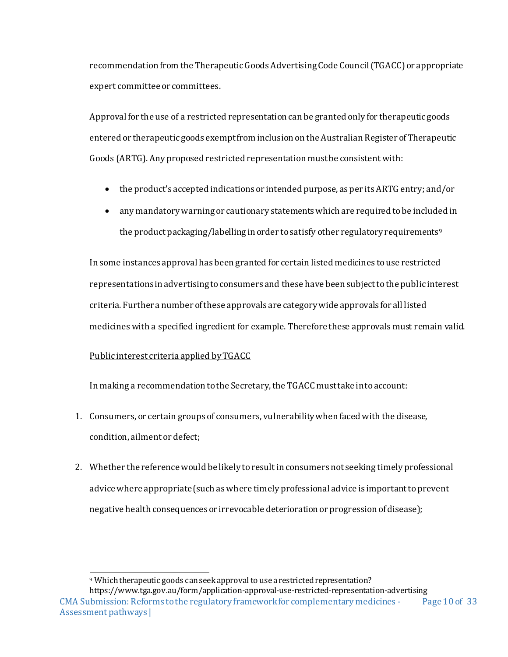recommendation from the Therapeutic Goods Advertising Code Council (TGACC) or appropriate expert committee or committees.

Approval for the use of a restricted representation can be granted only for therapeutic goods entered or therapeutic goods exempt from inclusion on the Australian Register of Therapeutic Goods (ARTG). Any proposed restricted representation must be consistent with:

- the product's accepted indications or intended purpose, as per its ARTG entry; and/or
- any mandatory warning or cautionary statements which are required to be included in the product packaging/labelling in order to satisfy other regulatory requirements<sup>9</sup>

In some instances approval has been granted for certain listed medicines to use restricted representations in advertising to consumers and these have been subject to the public interest criteria. Further a number of these approvals are category wide approvals for all listed medicines with a specified ingredient for example. Therefore these approvals must remain valid.

#### Public interest criteria applied by TGACC

In making a recommendation to the Secretary, the TGACC must take into account:

- 1. Consumers, or certain groups of consumers, vulnerability when faced with the disease, condition, ailment or defect;
- 2. Whether the reference would be likely to result in consumers not seeking timely professional advice where appropriate (such as where timely professional advice is important to prevent negative health consequences or irrevocable deterioration or progression of disease);

 <sup>9</sup> Which therapeutic goods can seek approval to use a restricted representation?

CMA Submission: Reforms to the regulatory framework for complementary medicines - Assessment pathways | Page 10 of 33 https://www.tga.gov.au/form/application-approval-use-restricted-representation-advertising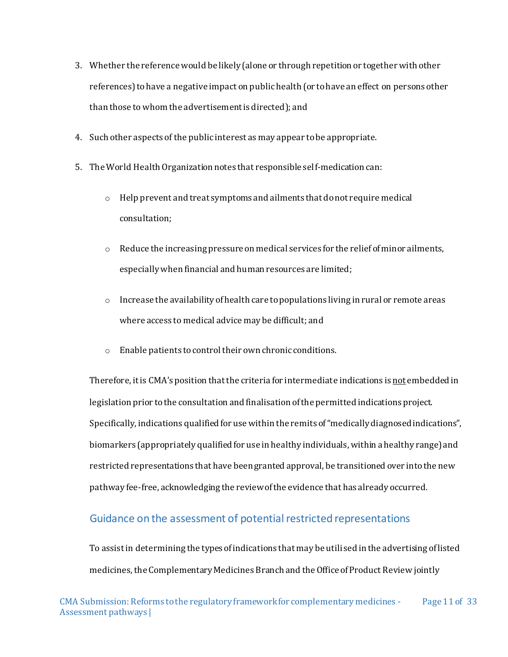- 3. Whether the reference would be likely (alone or through repetition or together with other references) to have a negative impact on public health (or to have an effect on persons other than those to whom the advertisement is directed); and
- 4. Such other aspects of the public interest as may appear to be appropriate.
- 5. The World Health Organization notes that responsible self-medication can:
	- $\circ$  Help prevent and treat symptoms and ailments that do not require medical consultation;
	- $\circ$  Reduce the increasing pressure on medical services for the relief of minor ailments, especially when financial and human resources are limited;
	- $\circ$  Increase the availability of health care to populations living in rural or remote areas where access to medical advice may be difficult; and
	- o Enable patients to control their own chronic conditions.

Therefore, it is CMA's position that the criteria for intermediate indications is not embedded in legislation prior to the consultation and finalisation of the permitted indications project. Specifically, indications qualified for use within the remits of "medically diagnosed indications", biomarkers (appropriately qualified for use in healthy individuals, within a healthy range) and restricted representations that have been granted approval, be transitioned over into the new pathway fee-free, acknowledging the review of the evidence that has already occurred.

#### <span id="page-11-0"></span>Guidance on the assessment of potential restricted representations

To assist in determining the types of indications that may be utilised in the advertising of listed medicines, the Complementary Medicines Branch and the Office of Product Review jointly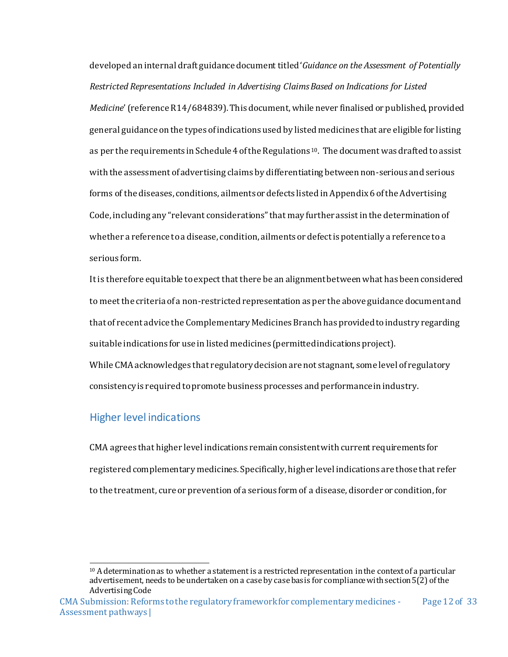developed an internal draft guidance document titled '*Guidance on the Assessment of Potentially Restricted Representations Included in Advertising Claims Based on Indications for Listed Medicine*' (reference R14/684839). This document, while never finalised or published, provided general guidance on the types of indications used by listed medicines that are eligible for listing as per the requirements in Schedule 4 of the Regulations<sup>10</sup>. The document was drafted to assist with the assessment of advertising claims by differentiating between non-serious and serious forms of the diseases, conditions, ailments or defects listed in Appendix 6 of the Advertising Code, including any "relevant considerations" that may further assist in the determination of whether a reference to a disease, condition, ailments or defect is potentially a reference to a serious form.

It is therefore equitable to expect that there be an alignment between what has been considered to meet the criteria of a non-restricted representation as per the above guidance document and that of recent advice the Complementary MedicinesBranch has provided to industry regarding suitable indications for use in listed medicines (permitted indications project). While CMA acknowledges that regulatory decision are not stagnant, some level of regulatory

consistency is required to promote business processes and performance in industry.

### <span id="page-12-0"></span>Higher level indications

CMA agrees that higher level indications remain consistent with current requirements for registered complementary medicines. Specifically, higher level indications are those that refer to the treatment, cure or prevention of a serious form of a disease, disorder or condition, for

  $10$  A determination as to whether a statement is a restricted representation in the context of a particular advertisement, needs to be undertaken on a case by case basis for compliance with section 5(2) of the Advertising Code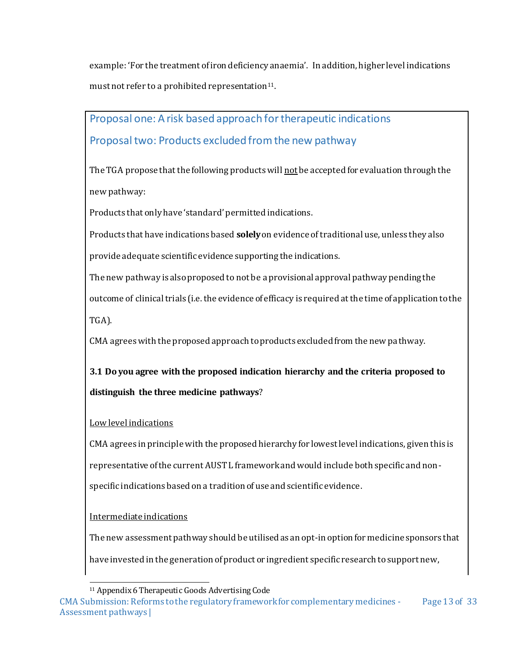example: 'For the treatment of iron deficiency anaemia'. In addition, higherlevel indications must not refer to a prohibited representation<sup>11</sup>.

# <span id="page-13-0"></span>Proposal one: A risk based approach for therapeutic indications Proposal two: Products excluded from the new pathway

The TGA propose that the following products will not be accepted for evaluation through the new pathway:

Products that only have 'standard' permitted indications.

Products that have indications based **solely**on evidence of traditional use, unless they also provide adequate scientific evidence supporting the indications.

The new pathway is also proposed to not be a provisional approval pathway pending the outcome of clinical trials (i.e. the evidence of efficacy is required at the time of application to the TGA).

CMA agrees with the proposed approach to products excluded from the new pathway.

**3.1 Do you agree with the proposed indication hierarchy and the criteria proposed to distinguish the three medicine pathways**?

### Low level indications

CMA agrees in principle with the proposed hierarchy for lowest level indications, given this is representative of the current AUST L framework and would include both specific and nonspecific indications based on a tradition of use and scientific evidence.

### Intermediate indications

The new assessment pathway should be utilised as an opt-in option for medicine sponsors that have invested in the generation of product or ingredient specific research to support new,

 <sup>11</sup> Appendix 6 Therapeutic Goods Advertising Code

CMA Submission: Reforms to the regulatory framework for complementary medicines - Assessment pathways | Page 13 of 33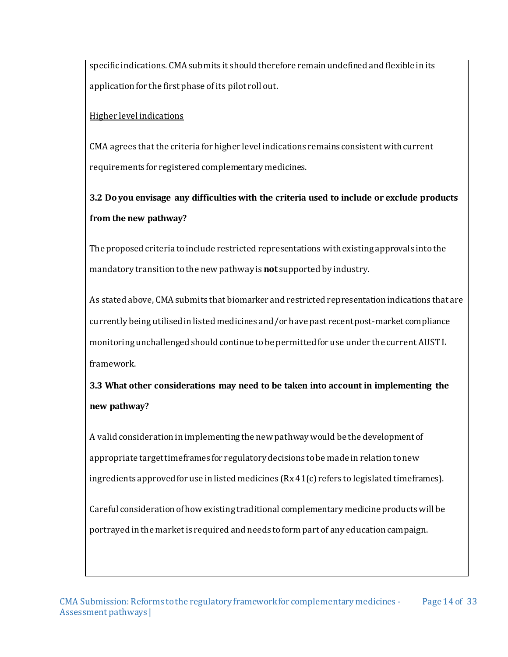specific indications. CMA submits it should therefore remain undefined and flexible in its application for the first phase of its pilot roll out.

#### Higher level indications

CMA agrees that the criteria for higher level indications remains consistent with current requirements for registered complementary medicines.

**3.2 Do you envisage any difficulties with the criteria used to include or exclude products from the new pathway?**

The proposed criteria to include restricted representations with existing approvals into the mandatory transition to the new pathway is **not** supported by industry.

As stated above, CMA submits that biomarker and restricted representation indications that are currently being utilised in listed medicines and/or have past recent post-market compliance monitoring unchallenged should continue to be permitted for use under the current AUST L framework.

**3.3 What other considerations may need to be taken into account in implementing the new pathway?**

A valid consideration in implementing the new pathway would be the development of appropriate target timeframes for regulatory decisions to be made in relation to new ingredients approved for use in listed medicines (Rx 41(c) refers to legislated timeframes).

Careful consideration of how existing traditional complementary medicine products will be portrayed in the market is required and needs to form part of any education campaign.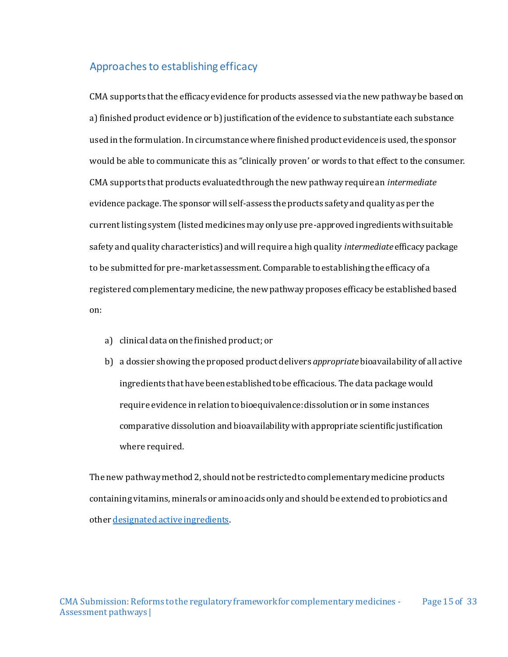#### <span id="page-15-0"></span>Approaches to establishing efficacy

CMA supports that the efficacy evidence for products assessed via the new pathway be based on a) finished product evidence or b) justification of the evidence to substantiate each substance used in the formulation. In circumstance where finished product evidence is used, the sponsor would be able to communicate this as "clinically proven' or words to that effect to the consumer. CMA supports that products evaluated through the new pathway require an *intermediate* evidence package. The sponsor will self-assess the products safety and quality as per the current listing system (listed medicines may only use pre-approved ingredients with suitable safety and quality characteristics) and will require a high quality *intermediate* efficacy package to be submitted for pre-market assessment. Comparable to establishing the efficacy of a registered complementary medicine, the new pathway proposes efficacy be established based on:

- a) clinical data on the finished product; or
- b) a dossier showing the proposed product delivers *appropriate*bioavailability of all active ingredients that have been established to be efficacious. The data package would require evidence in relation to bioequivalence: dissolution or in some instances comparative dissolution and bioavailability with appropriate scientific justification where required.

The new pathway method 2, should not be restricted to complementary medicine products containing vitamins, minerals or amino acids only and should be extended to probiotics and othe[r designated active ingredients](https://www.tga.gov.au/overview-regulation-complementary-medicines-australia).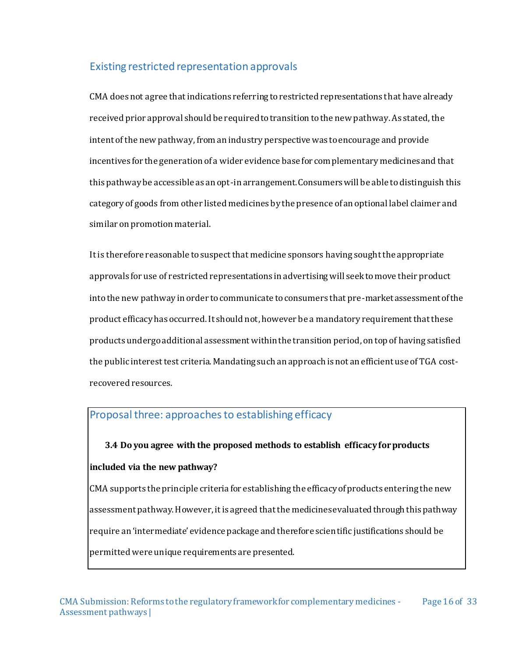# <span id="page-16-0"></span>Existing restricted representation approvals

CMA does not agree that indications referring to restricted representations that have already received prior approval should be required to transition to the new pathway. As stated, the intent of the new pathway, from an industry perspective was to encourage and provide incentives for the generation of a wider evidence base for complementary medicines and that this pathway be accessible as an opt-in arrangement. Consumers will be able to distinguish this category of goods from other listed medicines by the presence of an optional label claimer and similar on promotion material.

It is therefore reasonable to suspect that medicine sponsors having sought the appropriate approvals for use of restricted representations in advertising will seek to move their product into the new pathway in order to communicate to consumers that pre-market assessment of the product efficacy has occurred. It should not, however be a mandatory requirement that these products undergo additional assessment within the transition period, on top of having satisfied the public interest test criteria. Mandating such an approach is not an efficient use of TGA costrecovered resources.

### <span id="page-16-1"></span>Proposal three: approaches to establishing efficacy

# **3.4 Do you agree with the proposed methods to establish efficacy for products included via the new pathway?**

CMA supports the principle criteria for establishing the efficacy of products entering the new assessment pathway. However, it is agreed that the medicines evaluated through this pathway require an 'intermediate' evidence package and therefore scientific justifications should be permitted were unique requirements are presented.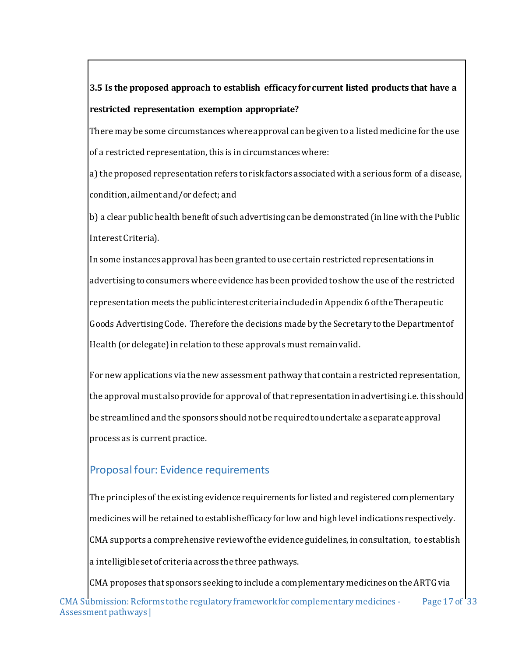# **3.5 Is the proposed approach to establish efficacy for current listed products that have a restricted representation exemption appropriate?**

There may be some circumstances where approval can be given to a listed medicine for the use of a restricted representation, this is in circumstances where:

a) the proposed representation refers to risk factors associated with a serious form of a disease, condition, ailment and/or defect; and

b) a clear public health benefit of such advertising can be demonstrated (in line with the Public Interest Criteria).

In some instances approval has been granted to use certain restricted representations in advertising to consumers where evidence has been provided to show the use of the restricted representation meets the public interest criteria included in Appendix 6 of the Therapeutic Goods Advertising Code. Therefore the decisions made by the Secretary to the Department of Health (or delegate) in relation to these approvals must remain valid.

For new applications via the new assessment pathway that contain a restricted representation, the approval must also provide for approval of that representation in advertising i.e. this should be streamlined and the sponsors should not be required to undertake a separate approval process as is current practice.

# <span id="page-17-0"></span>Proposal four: Evidence requirements

The principles of the existing evidence requirements for listed and registered complementary medicines will be retained to establish efficacy for low and high level indications respectively. CMA supports a comprehensive review of the evidence guidelines, in consultation, to establish a intelligibleset of criteria across the three pathways.

CMA Submission: Reforms to the regulatory framework for complementary medicines - Assessment pathways | Page 17 of 33 CMA proposes that sponsors seeking to include a complementary medicines on the ARTG via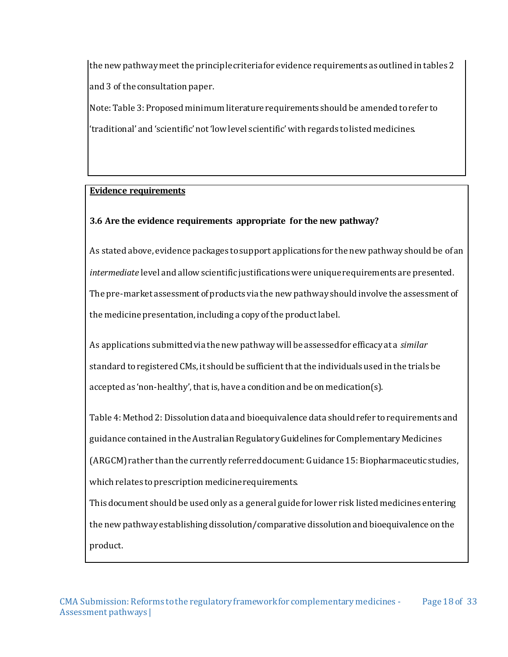the new pathway meet the principle criteria for evidence requirements as outlined in tables 2 and 3 of the consultation paper.

Note: Table 3: Proposed minimum literature requirements should be amended to refer to 'traditional' and 'scientific' not 'low level scientific' with regards to listed medicines.

#### **Evidence requirements**

### **3.6 Are the evidence requirements appropriate for the new pathway?**

As stated above, evidence packages to support applications for the new pathway should be of an *intermediate* level and allow scientific justifications were unique requirements are presented. The pre-market assessment of products via the new pathway should involve the assessment of the medicine presentation, including a copy of the product label.

As applications submitted via the new pathway will be assessed for efficacy at a *similar* standard to registered CMs, it should be sufficient that the individuals used in the trials be accepted as 'non-healthy', that is, have a condition and be on medication(s).

Table 4: Method 2: Dissolution data and bioequivalence data should refer to requirements and guidance contained in the Australian Regulatory Guidelines for Complementary Medicines (ARGCM) rather than the currently referred document: Guidance 15: Biopharmaceutic studies, which relates to prescription medicine requirements.

This document should be used only as a general guide for lower risk listed medicines entering the new pathway establishing dissolution/comparative dissolution and bioequivalence on the product.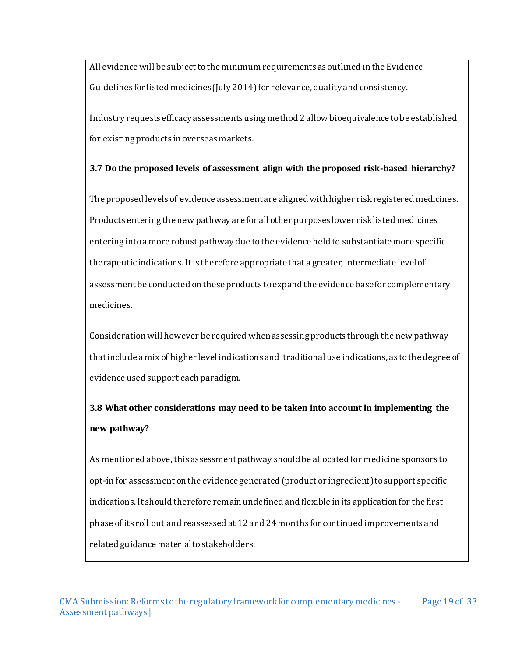All evidence will be subject to the minimum requirements as outlined in the Evidence Guidelines for listed medicines (July 2014) for relevance, quality and consistency.

Industry requests efficacy assessments using method 2 allow bioequivalence to be established for existing products in overseas markets.

#### **3.7 Do the proposed levels of assessment align with the proposed risk-based hierarchy?**

The proposed levels of evidence assessment are aligned with higher risk registered medicines. Products entering the new pathway are for all other purposes lower risk listed medicines entering into a more robust pathway due to the evidence held to substantiate more specific therapeutic indications. It is therefore appropriate that a greater, intermediate level of assessment be conducted on these products to expand the evidence base for complementary medicines.

Consideration will however be required when assessing products through the new pathway that include a mix of higher level indications and traditional use indications, as to the degree of evidence used support each paradigm.

# **3.8 What other considerations may need to be taken into account in implementing the new pathway?**

As mentioned above, this assessment pathway should be allocated for medicine sponsors to opt-in for assessment on the evidence generated (product or ingredient) to support specific indications. It should therefore remain undefined and flexible in its application for the first phase of its roll out and reassessed at 12 and 24 months for continued improvements and related guidance material to stakeholders.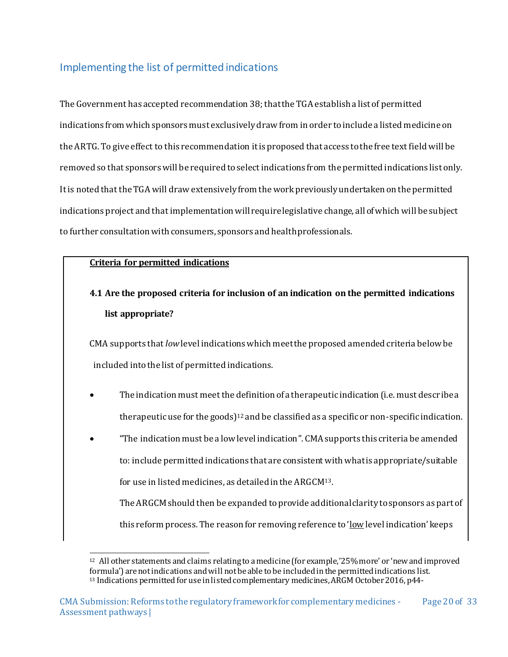# <span id="page-20-0"></span>Implementing the list of permitted indications

The Government has accepted recommendation 38; that the TGA establish a list of permitted indications from which sponsors must exclusively draw from in order toinclude a listed medicine on the ARTG. To give effect to this recommendation it is proposed that access to the free text field will be removed so that sponsors will be required to select indications from the permitted indications list only. It is noted that the TGA will draw extensively from the work previously undertaken on the permitted indications project and that implementation will require legislative change, all of which will be subject to further consultation with consumers, sponsors and health professionals.

#### **Criteria for permitted indications**

# **4.1 Are the proposed criteria for inclusion of an indication on the permitted indications list appropriate?**

CMA supports that *low*level indications which meet the proposed amended criteria below be included into the list of permitted indications.

- The indication must meet the definition of a therapeutic indication (i.e. must descr ibe a therapeutic use for the goods)<sup>12</sup> and be classified as a specific or non-specific indication.
- "The indication must be a low level indication". CMA supports this criteria be amended to: include permitted indications that are consistent with what is appropriate/suitable for use in listed medicines, as detailed in the ARGCM13.

The ARGCM should then be expanded to provide additional clarity to sponsors as part of this reform process. The reason for removing reference to 'low level indication' keeps

 <sup>12</sup> All other statements and claims relating to a medicine (for example,'25% more' or 'new and improved formula') are not indications and will not be able to be included in the permitted indications list. <sup>13</sup> Indications permitted for use in listed complementary medicines, ARGM October 2016, p44-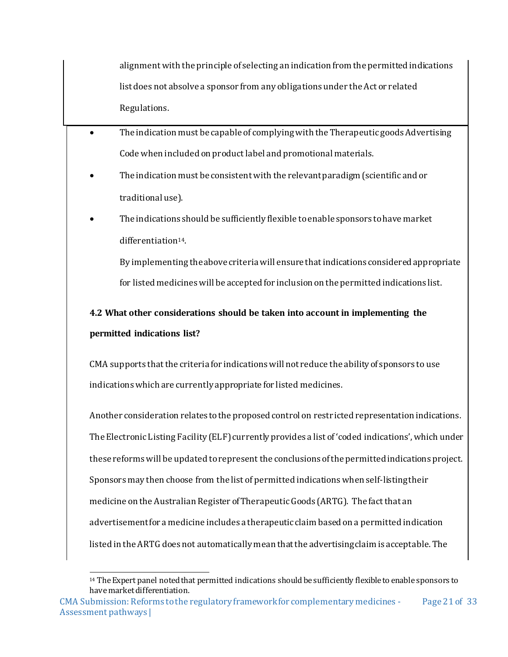alignment with the principle of selecting an indication from the permitted indications list does not absolve a sponsor from any obligations under the Act or related Regulations.

- The indication must be capable of complying with the Therapeutic goods Advertising Code when included on product label and promotional materials.
	- The indication must be consistent with the relevant paradigm (scientific and or traditional use).
	- The indications should be sufficiently flexible to enable sponsors to have market differentiation14.

By implementing the above criteria will ensure that indications considered appropriate for listed medicines will be accepted for inclusion on the permitted indications list.

**4.2 What other considerations should be taken into account in implementing the permitted indications list?**

CMA supports that the criteria for indications will not reduce the ability of sponsors to use indications which are currently appropriate for listed medicines.

Another consideration relates to the proposed control on restricted representation indications. The Electronic Listing Facility (ELF) currently provides a list of 'coded indications', which under these reforms will be updated to represent the conclusions of the permitted indications project. Sponsors may then choose from the list of permitted indications when self-listing their medicine on the Australian Register of Therapeutic Goods (ARTG). The fact that an advertisement for a medicine includes a therapeutic claim based on a permitted indication listed in the ARTG does not automatically mean that the advertising claim is acceptable. The

 <sup>14</sup> The Expert panel noted that permitted indications should be sufficiently flexible to enable sponsors to have market differentiation.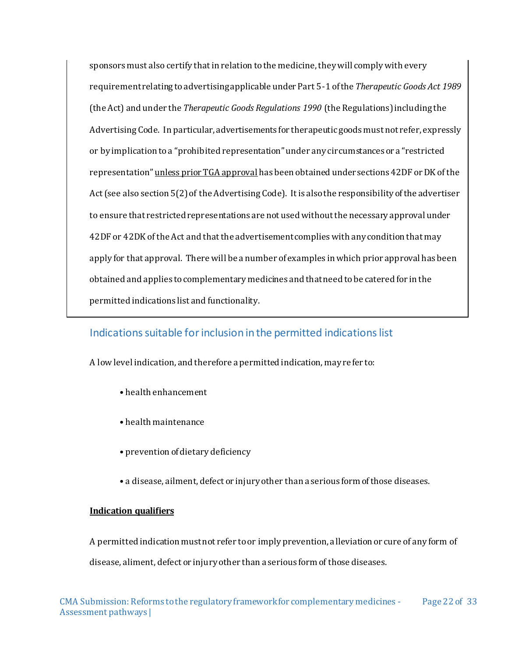sponsors must also certify that in relation to the medicine, they will comply with every requirement relating to advertising applicable under Part 5-1 of the *Therapeutic Goods Act 1989* (the Act) and under the *Therapeutic Goods Regulations 1990* (the Regulations) including the Advertising Code. In particular, advertisements for therapeutic goods must not refer, expressly or by implication to a "prohibited representation" under any circumstances or a "restricted representation" unless prior TGA approval has been obtained under sections 42DF or DK of the Act (see also section 5(2) of the Advertising Code). It is also the responsibility of the advertiser to ensure that restricted representations are not used without the necessary approval under 42DF or 42DK of the Act and that the advertisement complies with any condition that may apply for that approval. There will be a number of examples in which prior approval has been obtained and applies to complementary medicines and that need to be catered for in the permitted indications list and functionality.

## <span id="page-22-0"></span>Indications suitable for inclusion in the permitted indications list

A low level indication, and therefore a permitted indication, may refer to:

- health enhancement
- health maintenance
- prevention of dietary deficiency
- a disease, ailment, defect or injury other than a serious form of those diseases.

#### **Indication qualifiers**

A permitted indication must not refer to or imply prevention, alleviation or cure of any form of disease, aliment, defect or injury other than a serious form of those diseases.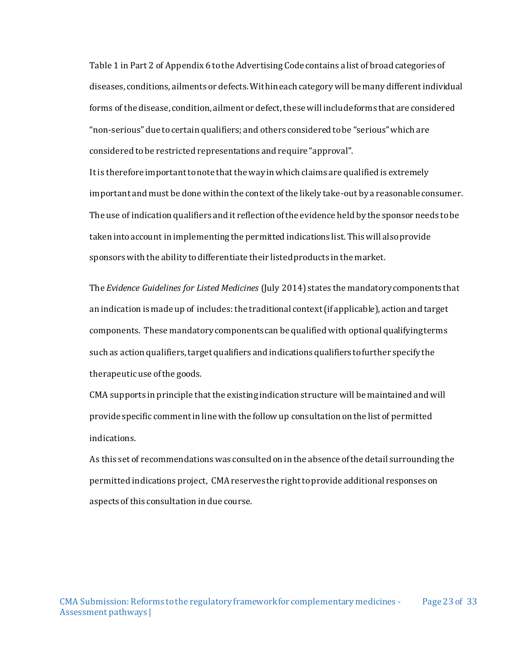Table 1 in Part 2 of Appendix 6 to the Advertising Code contains a list of broad categories of diseases, conditions, ailments or defects. Within each category will be many different individual forms of the disease, condition, ailment or defect, these will include forms that are considered "non-serious" due to certain qualifiers; and others considered to be "serious" which are considered to be restricted representations and require "approval".

It is therefore important to note that the way in which claims are qualified is extremely important and must be done within the context of the likely take-out by a reasonable consumer. The use of indication qualifiers and it reflection of the evidence held by the sponsor needs to be taken into account in implementing the permitted indications list. This will also provide sponsors with the ability to differentiate their listed products in the market.

The *Evidence Guidelines for Listed Medicines* (July 2014) states the mandatory components that an indication is made up of includes: the traditional context (if applicable), action and target components. These mandatory components can be qualified with optional qualifying terms such as action qualifiers, target qualifiers and indications qualifiers to further specify the therapeutic use of the goods.

CMA supports in principle that the existing indication structure will be maintained and will provide specific comment in line with the follow up consultation on the list of permitted indications.

As this set of recommendations was consulted on in the absence of the detail surrounding the permitted indications project, CMA reserves the right to provide additional responses on aspects of this consultation in due course.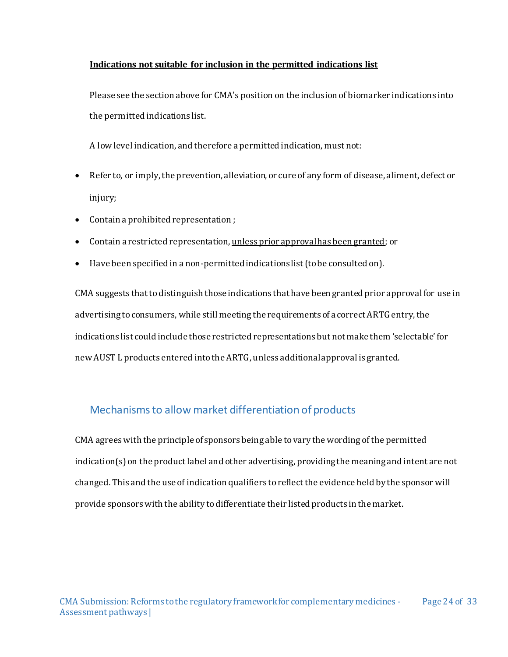#### **Indications not suitable for inclusion in the permitted indications list**

Please see the section above for CMA's position on the inclusion of biomarker indications into the permitted indications list.

A low level indication, and therefore a permitted indication, must not:

- Refer to, or imply, the prevention, alleviation, or cure of any form of disease, aliment, defect or injury;
- Contain a prohibited representation ;
- Contain a restricted representation, unless prior approval has been granted; or
- Have been specified in a non-permitted indications list (to be consulted on).

CMA suggests that to distinguish those indications that have been granted prior approval for use in advertising to consumers, while still meeting the requirements of a correct ARTG entry, the indications list could include those restricted representations but not make them 'selectable' for new AUST L products entered into the ARTG, unless additional approval is granted.

# <span id="page-24-0"></span>Mechanisms to allow market differentiation of products

CMA agrees with the principle of sponsors being able to vary the wording of the permitted indication(s)on the product label and other advertising, providing the meaning and intent are not changed. This and the use of indication qualifiers toreflect the evidence held by the sponsor will provide sponsors with the ability to differentiate their listed products in the market.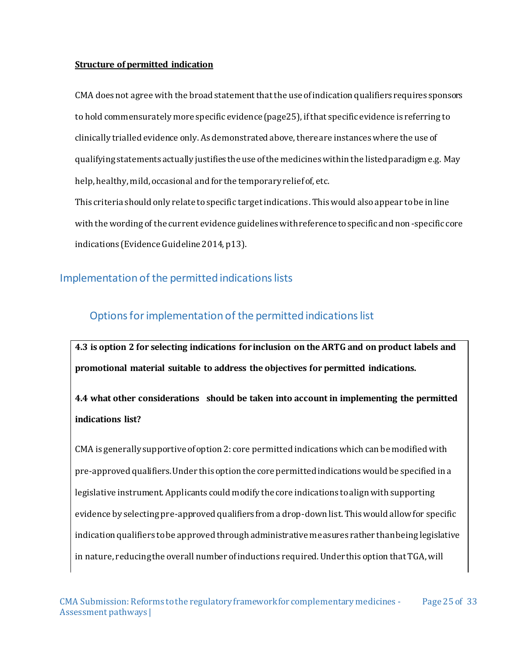#### **Structure of permitted indication**

CMA does not agree with the broad statement that the use of indication qualifiers requires sponsors to hold commensurately more specific evidence (page25), if that specific evidence is referring to clinically trialled evidence only. As demonstrated above, there are instances where the use of qualifying statements actually justifies the use of the medicines within the listed paradigm e.g. May help, healthy, mild, occasional and for the temporary relief of, etc.

This criteria should only relate to specific target indications. This would also appear to be in line with the wording of the current evidence guidelines with reference to specific and non-specific core indications (Evidence Guideline 2014, p13).

### <span id="page-25-0"></span>Implementation of the permitted indications lists

# <span id="page-25-1"></span>Options for implementation of the permitted indications list

**4.3 is option 2 for selecting indications for inclusion on the ARTG and on product labels and promotional material suitable to address the objectives for permitted indications.**

**4.4 what other considerations should be taken into account in implementing the permitted indications list?**

CMA is generally supportive of option 2: core permitted indications which can be modified with pre-approved qualifiers. Under this option the core permitted indications would be specified in a legislative instrument. Applicants could modify the core indications to align with supporting evidence by selecting pre-approved qualifiers from a drop-down list. This would allow for specific indication qualifiers to be approved through administrative measures rather than being legislative in nature, reducing the overall number of inductions required. Under this option that TGA, will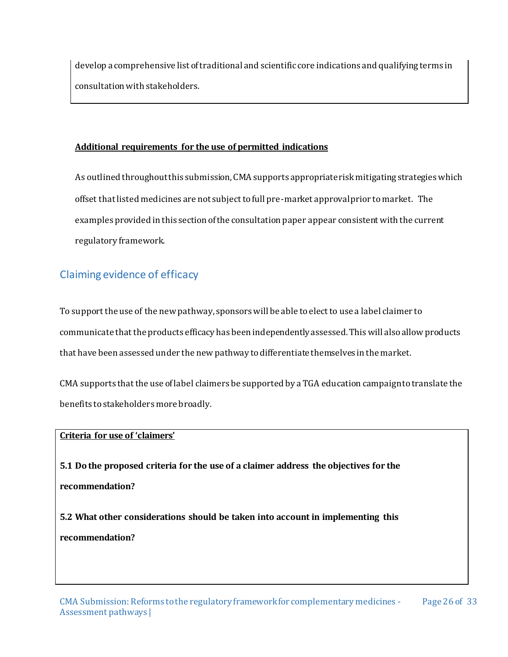develop a comprehensive list of traditional and scientific core indications and qualifying terms in consultation with stakeholders.

#### **Additional requirements for the use of permitted indications**

As outlined throughout this submission, CMA supports appropriate risk mitigating strategies which offset that listed medicines are not subject to full pre-market approval prior to market. The examples provided in this section of the consultation paper appear consistent with the current regulatory framework.

# <span id="page-26-0"></span>Claiming evidence of efficacy

To support the use of the new pathway, sponsors will be able to elect to use a label claimer to communicate that the products efficacy has been independently assessed. This will also allow products that have been assessed under the new pathway to differentiate themselves in the market.

CMA supports that the use of label claimers be supported by a TGA education campaign to translate the benefits to stakeholders more broadly.

#### **Criteria for use of 'claimers'**

**5.1 Do the proposed criteria for the use of a claimer address the objectives for the recommendation?**

**5.2 What other considerations should be taken into account in implementing this recommendation?**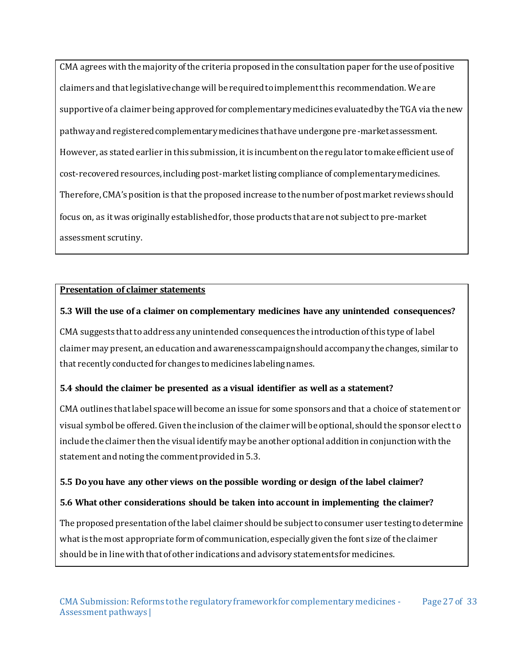CMA agrees with the majority of the criteria proposed in the consultation paper for the use of positive claimers and that legislative change will be required to implement this recommendation. We are supportive of a claimer being approved for complementary medicines evaluated by the TGA via the new pathway and registered complementary medicines that have undergone pre-market assessment. However, as stated earlier in this submission, it is incumbent on the regulator to make efficient use of cost-recovered resources, including post-market listing compliance of complementary medicines. Therefore, CMA's position is that the proposed increase to the number of post market reviews should focus on, as it was originally established for, those products that are not subject to pre-market assessment scrutiny.

#### **Presentation of claimer statements**

#### **5.3 Will the use of a claimer on complementary medicines have any unintended consequences?**

CMA suggests that to address any unintended consequences the introduction of this type of label claimer may present, an education and awareness campaign should accompany the changes, similar to that recently conducted for changes to medicines labeling names.

### **5.4 should the claimer be presented as a visual identifier as well as a statement?**

CMA outlines that label space will become an issue for some sponsors and that a choice of statement or visual symbol be offered. Given the inclusion of the claimer will be optional, should the sponsor elect to include the claimer then the visual identify may be another optional addition in conjunction with the statement and noting the comment provided in 5.3.

#### **5.5 Do you have any other views on the possible wording or design of the label claimer?**

#### **5.6 What other considerations should be taken into account in implementing the claimer?**

The proposed presentation of the label claimer should be subject to consumer user testing to determine what is the most appropriate form of communication, especially given the font size of the claimer should be in line with that of other indications and advisory statements for medicines.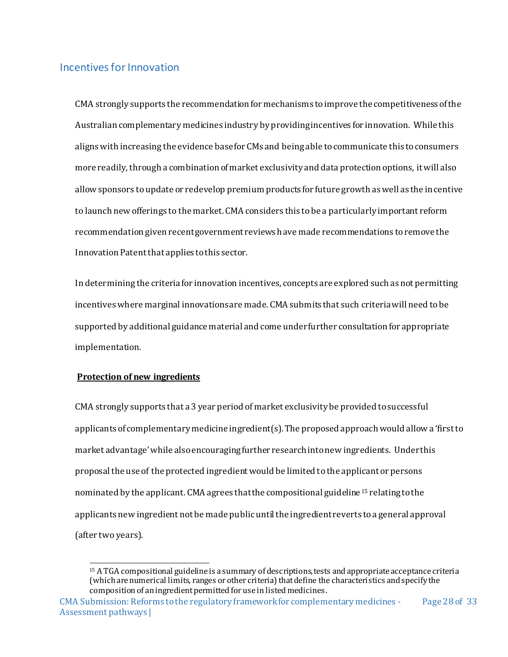# <span id="page-28-0"></span>Incentives for Innovation

CMA strongly supports the recommendation for mechanisms to improve the competitiveness of the Australian complementary medicines industry by providing incentives for innovation. While this aligns with increasing the evidence base for CMs and being able to communicate this to consumers more readily, through a combination of market exclusivity and data protection options, it will also allow sponsors to update or redevelop premium products for future growth as well as the incentive to launch new offerings to the market. CMA considers this to be a particularly important reform recommendation given recent government reviews have made recommendations to remove the Innovation Patent that applies to this sector.

In determining the criteria for innovation incentives, concepts are explored such as not permitting incentives where marginal innovations are made. CMA submits that such criteria will need to be supported by additional guidance material and come under further consultation for appropriate implementation.

#### **Protection of new ingredients**

CMA strongly supports that a 3 year period of market exclusivity be provided to successful applicants of complementary medicine ingredient(s). The proposed approach would allow a 'first to market advantage' while also encouraging further research into new ingredients. Under this proposal the use of the protected ingredient would be limited to the applicant or persons nominated by the applicant. CMA agrees that the compositional guideline <sup>15</sup> relating to the applicants new ingredient not be made public until the ingredient reverts to a general approval (after two years).

 <sup>15</sup> A TGA compositional guideline is a summary of descriptions, tests and appropriate acceptance criteria (which are numerical limits, ranges or other criteria) that define the characteristics and specify the composition of an ingredient permitted for use in listed medicines.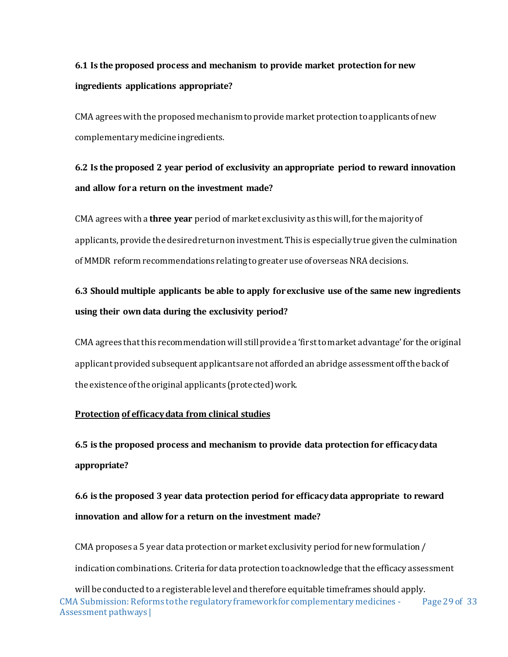# **6.1 Is the proposed process and mechanism to provide market protection for new ingredients applications appropriate?**

CMA agrees with the proposed mechanism to provide market protection to applicants of new complementary medicine ingredients.

# **6.2 Is the proposed 2 year period of exclusivity an appropriate period to reward innovation and allow for a return on the investment made?**

CMA agrees with a **three year** period of market exclusivity as this will, for the majority of applicants, provide the desired return on investment. This is especially true given the culmination of MMDR reform recommendations relating to greater use of overseas NRA decisions.

# **6.3 Should multiple applicants be able to apply for exclusive use of the same new ingredients using their own data during the exclusivity period?**

CMA agrees that this recommendation will still provide a 'first to market advantage' for the original applicant provided subsequent applicants are not afforded an abridge assessment off the back of the existence of the original applicants (protected) work.

#### **Protection of efficacy data from clinical studies**

**6.5 is the proposed process and mechanism to provide data protection for efficacy data appropriate?**

**6.6 is the proposed 3 year data protection period for efficacy data appropriate to reward innovation and allow for a return on the investment made?**

CMA proposes a 5 year data protection or market exclusivity period for new formulation / indication combinations. Criteria for data protection to acknowledge that the efficacy assessment

CMA Submission: Reforms to the regulatory framework for complementary medicines - Assessment pathways | Page 29 of 33 will be conducted to a registerable level and therefore equitable timeframes should apply.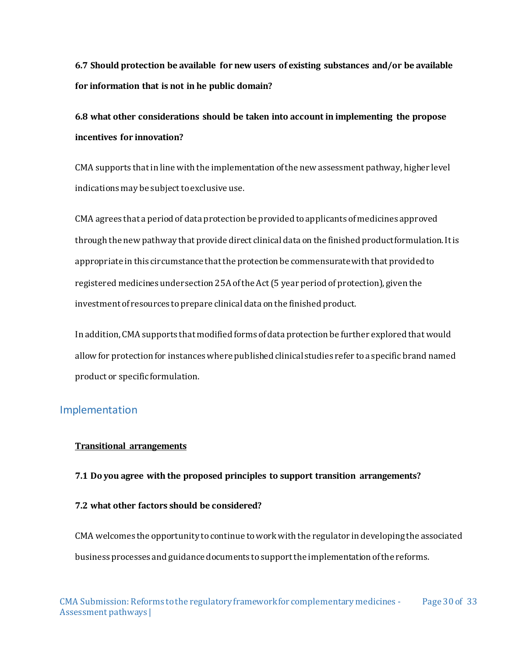**6.7 Should protection be available for new users of existing substances and/or be available for information that is not in he public domain?**

**6.8 what other considerations should be taken into account in implementing the propose incentives for innovation?**

CMA supports that in line with the implementation of the new assessment pathway, higher level indications may be subject to exclusive use.

CMA agrees that a period of data protection be provided to applicants of medicines approved through the new pathway that provide direct clinical data on the finished product formulation. It is appropriate in this circumstance that the protection be commensurate with that provided to registered medicines under section 25A of the Act (5 year period of protection), given the investment of resources to prepare clinical data on the finished product.

In addition, CMA supports that modified forms of data protection be further explored that would allow for protection for instances where published clinical studies refer to a specific brand named product or specific formulation.

#### <span id="page-30-0"></span>Implementation

#### **Transitional arrangements**

#### **7.1 Do you agree with the proposed principles to support transition arrangements?**

#### **7.2 what other factors should be considered?**

CMA welcomes the opportunity to continue to work with the regulator in developing the associated business processes and guidance documents to support the implementation of the reforms.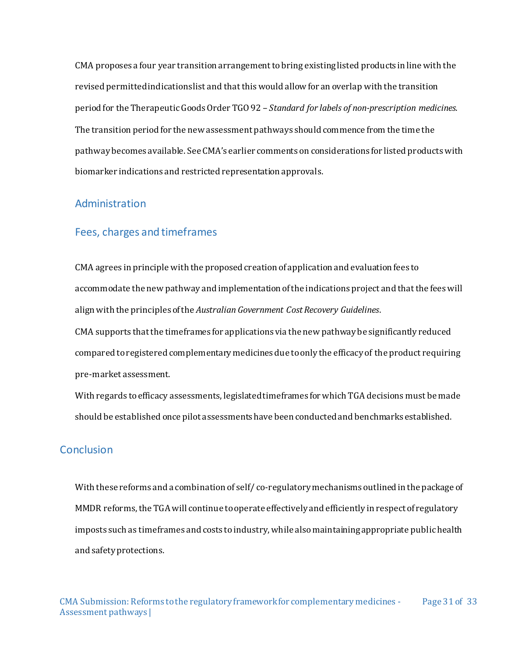CMA proposes a four year transition arrangement to bring existing listed products in line with the revised permitted indications list and that this would allow for an overlap with the transition period for the Therapeutic Goods Order TGO 92 – *Standard for labels of non-prescription medicines*. The transition period for the new assessment pathways should commence from the time the pathway becomes available. See CMA's earlier comments on considerations for listed products with biomarker indications and restricted representation approvals.

#### <span id="page-31-0"></span>Administration

#### Fees, charges and timeframes

CMA agrees in principle with the proposed creation of application and evaluation fees to accommodate the new pathway and implementation of the indications project and that the fees will align with the principles of the *Australian Government Cost Recovery Guidelines*. CMA supports that the timeframes for applications via the new pathway be significantly reduced compared to registered complementary medicines due to only the efficacy of the product requiring pre-market assessment.

With regards to efficacy assessments, legislated timeframes for which TGA decisions must be made should be established once pilot assessments have been conducted and benchmarks established.

#### <span id="page-31-1"></span>Conclusion

With these reforms and a combination of self/ co-regulatory mechanisms outlined in the package of MMDR reforms, the TGA will continue to operate effectively and efficiently in respect of regulatory imposts such as timeframes and costs to industry, while also maintaining appropriate public health and safety protections.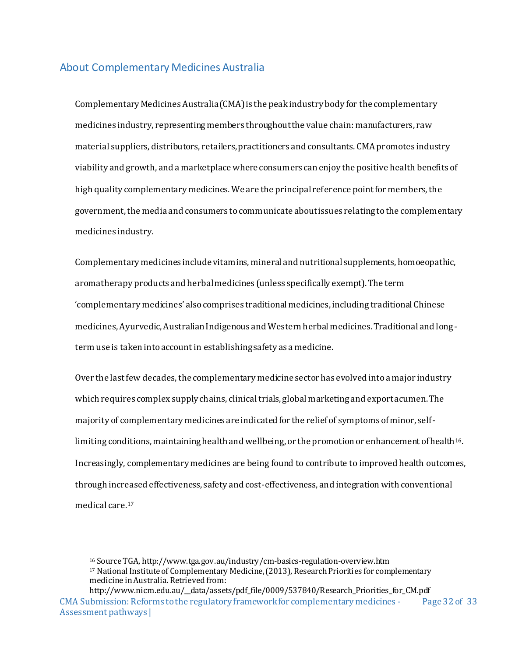### <span id="page-32-0"></span>About Complementary Medicines Australia

Complementary Medicines Australia (CMA) is the peak industry body for the complementary medicines industry, representing members throughout the value chain: manufacturers, raw material suppliers, distributors, retailers, practitioners and consultants. CMA promotes industry viability and growth, and a marketplace where consumers can enjoy the positive health benefits of high quality complementary medicines. We are the principal reference point for members, the government, the media and consumers to communicate about issues relating to the complementary medicines industry.

Complementary medicines include vitamins, mineral and nutritional supplements, homoeopathic, aromatherapy products and herbal medicines (unless specifically exempt). The term 'complementary medicines' also comprises traditional medicines, including traditional Chinese medicines, Ayurvedic, Australian Indigenous and Western herbal medicines. Traditional and longterm use is taken into account in establishing safety as a medicine.

Over the last few decades, the complementary medicine sector has evolved into a major industry which requires complex supply chains, clinical trials, global marketing and export acumen. The majority of complementary medicines are indicated for the relief of symptoms of minor, selflimiting conditions, maintaining health and wellbeing, or the promotion or enhancement of health<sup>16</sup>. Increasingly, complementary medicines are being found to contribute to improved health outcomes, through increased effectiveness, safety and cost-effectiveness, and integration with conventional medical care.<sup>17</sup>

<sup>16</sup> Source TGA, http://www.tga.gov.au/industry/cm-basics-regulation-overview.htm

<sup>17</sup> National Institute of Complementary Medicine, (2013), Research Priorities for complementary medicine in Australia. Retrieved from:

CMA Submission: Reforms to the regulatory framework for complementary medicines - Assessment pathways | Page 32 of 33 http://www.nicm.edu.au/\_\_data/assets/pdf\_file/0009/537840/Research\_Priorities\_for\_CM.pdf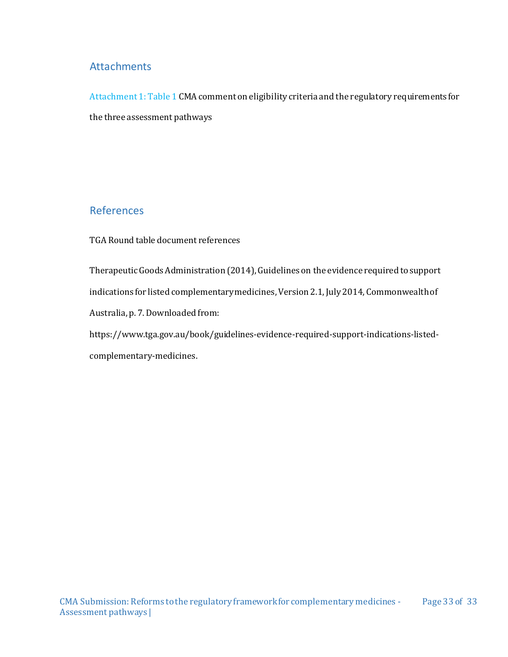#### <span id="page-33-0"></span>**Attachments**

Attachment 1: Table 1 CMA comment on eligibility criteria and the regulatory requirements for the three assessment pathways

### References

<span id="page-33-1"></span>TGA Round table document references

Therapeutic Goods Administration (2014), Guidelines on the evidence required to support indications for listed complementary medicines, Version 2.1, July 2014, Commonwealth of Australia, p. 7. Downloaded from:

https://www.tga.gov.au/book/guidelines‐evidence‐required‐support‐indications‐listed‐ complementary‐medicines.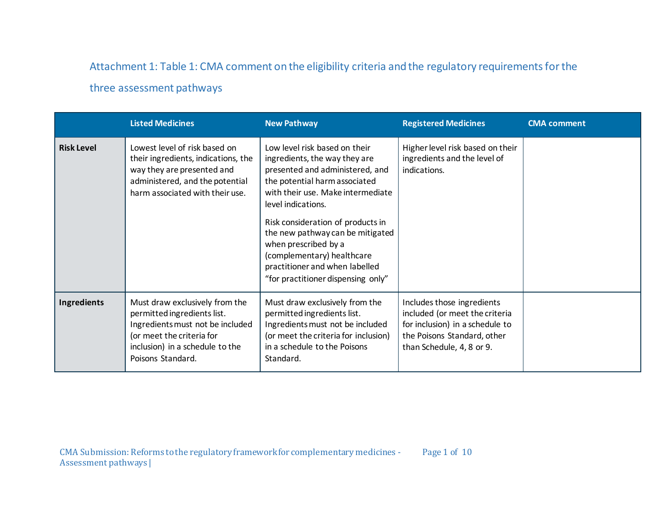# Attachment 1: Table 1: CMA comment on the eligibility criteria and the regulatory requirements for the

# three assessment pathways

<span id="page-34-0"></span>

|                   | <b>Listed Medicines</b>                                                                                                                                                                | <b>New Pathway</b>                                                                                                                                                                                                                                                                                                                                                                                   | <b>Registered Medicines</b>                                                                                                                                 | <b>CMA</b> comment |
|-------------------|----------------------------------------------------------------------------------------------------------------------------------------------------------------------------------------|------------------------------------------------------------------------------------------------------------------------------------------------------------------------------------------------------------------------------------------------------------------------------------------------------------------------------------------------------------------------------------------------------|-------------------------------------------------------------------------------------------------------------------------------------------------------------|--------------------|
| <b>Risk Level</b> | Lowest level of risk based on<br>their ingredients, indications, the<br>way they are presented and<br>administered, and the potential<br>harm associated with their use.               | Low level risk based on their<br>ingredients, the way they are<br>presented and administered, and<br>the potential harm associated<br>with their use. Make intermediate<br>level indications.<br>Risk consideration of products in<br>the new pathway can be mitigated<br>when prescribed by a<br>(complementary) healthcare<br>practitioner and when labelled<br>"for practitioner dispensing only" | Higher level risk based on their<br>ingredients and the level of<br>indications.                                                                            |                    |
| Ingredients       | Must draw exclusively from the<br>permitted ingredients list.<br>Ingredients must not be included<br>(or meet the criteria for<br>inclusion) in a schedule to the<br>Poisons Standard. | Must draw exclusively from the<br>permitted ingredients list.<br>Ingredients must not be included<br>(or meet the criteria for inclusion)<br>in a schedule to the Poisons<br>Standard.                                                                                                                                                                                                               | Includes those ingredients<br>included (or meet the criteria<br>for inclusion) in a schedule to<br>the Poisons Standard, other<br>than Schedule, 4, 8 or 9. |                    |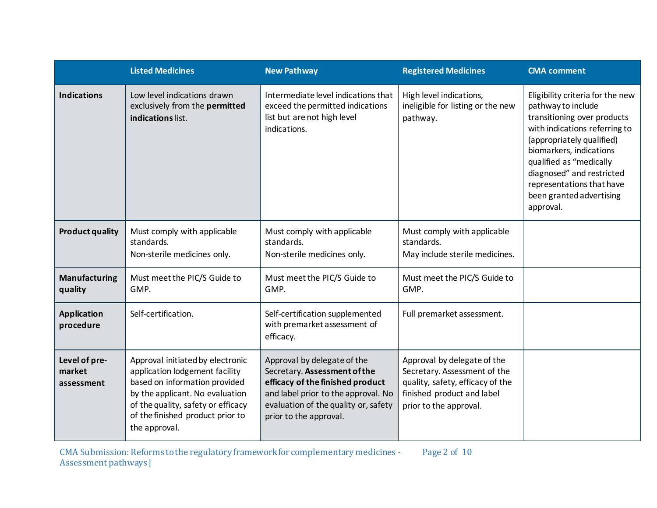|                                       | <b>Listed Medicines</b>                                                                                                                                                                                                           | <b>New Pathway</b>                                                                                                                                                                                       | <b>Registered Medicines</b>                                                                                                                             | <b>CMA</b> comment                                                                                                                                                                                                                                                                                           |
|---------------------------------------|-----------------------------------------------------------------------------------------------------------------------------------------------------------------------------------------------------------------------------------|----------------------------------------------------------------------------------------------------------------------------------------------------------------------------------------------------------|---------------------------------------------------------------------------------------------------------------------------------------------------------|--------------------------------------------------------------------------------------------------------------------------------------------------------------------------------------------------------------------------------------------------------------------------------------------------------------|
| <b>Indications</b>                    | Low level indications drawn<br>exclusively from the permitted<br>indications list.                                                                                                                                                | Intermediate level indications that<br>exceed the permitted indications<br>list but are not high level<br>indications.                                                                                   | High level indications,<br>ineligible for listing or the new<br>pathway.                                                                                | Eligibility criteria for the new<br>pathway to include<br>transitioning over products<br>with indications referring to<br>(appropriately qualified)<br>biomarkers, indications<br>qualified as "medically<br>diagnosed" and restricted<br>representations that have<br>been granted advertising<br>approval. |
| <b>Product quality</b>                | Must comply with applicable<br>standards.<br>Non-sterile medicines only.                                                                                                                                                          | Must comply with applicable<br>standards.<br>Non-sterile medicines only.                                                                                                                                 | Must comply with applicable<br>standards.<br>May include sterile medicines.                                                                             |                                                                                                                                                                                                                                                                                                              |
| <b>Manufacturing</b><br>quality       | Must meet the PIC/S Guide to<br>GMP.                                                                                                                                                                                              | Must meet the PIC/S Guide to<br>GMP.                                                                                                                                                                     | Must meet the PIC/S Guide to<br>GMP.                                                                                                                    |                                                                                                                                                                                                                                                                                                              |
| <b>Application</b><br>procedure       | Self-certification.                                                                                                                                                                                                               | Self-certification supplemented<br>with premarket assessment of<br>efficacy.                                                                                                                             | Full premarket assessment.                                                                                                                              |                                                                                                                                                                                                                                                                                                              |
| Level of pre-<br>market<br>assessment | Approval initiated by electronic<br>application lodgement facility<br>based on information provided<br>by the applicant. No evaluation<br>of the quality, safety or efficacy<br>of the finished product prior to<br>the approval. | Approval by delegate of the<br>Secretary. Assessment of the<br>efficacy of the finished product<br>and label prior to the approval. No<br>evaluation of the quality or, safety<br>prior to the approval. | Approval by delegate of the<br>Secretary. Assessment of the<br>quality, safety, efficacy of the<br>finished product and label<br>prior to the approval. |                                                                                                                                                                                                                                                                                                              |

CMA Submission: Reforms to the regulatory framework for complementary medicines - Assessment pathways | Page 2 of 10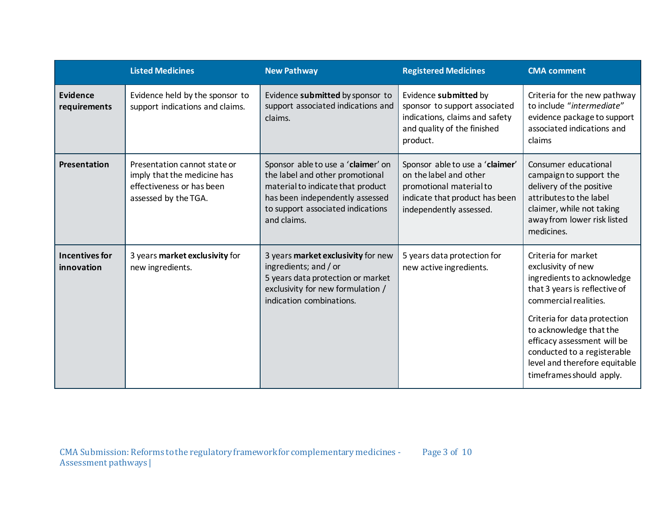|                                 | <b>Listed Medicines</b>                                                                                          | <b>New Pathway</b>                                                                                                                                                                                | <b>Registered Medicines</b>                                                                                                                       | <b>CMA</b> comment                                                                                                                                                                                                                                                                                                      |
|---------------------------------|------------------------------------------------------------------------------------------------------------------|---------------------------------------------------------------------------------------------------------------------------------------------------------------------------------------------------|---------------------------------------------------------------------------------------------------------------------------------------------------|-------------------------------------------------------------------------------------------------------------------------------------------------------------------------------------------------------------------------------------------------------------------------------------------------------------------------|
| <b>Evidence</b><br>requirements | Evidence held by the sponsor to<br>support indications and claims.                                               | Evidence submitted by sponsor to<br>support associated indications and<br>claims.                                                                                                                 | Evidence submitted by<br>sponsor to support associated<br>indications, claims and safety<br>and quality of the finished<br>product.               | Criteria for the new pathway<br>to include "intermediate"<br>evidence package to support<br>associated indications and<br>claims                                                                                                                                                                                        |
| Presentation                    | Presentation cannot state or<br>imply that the medicine has<br>effectiveness or has been<br>assessed by the TGA. | Sponsor able to use a 'claimer' on<br>the label and other promotional<br>material to indicate that product<br>has been independently assessed<br>to support associated indications<br>and claims. | Sponsor able to use a 'claimer'<br>on the label and other<br>promotional material to<br>indicate that product has been<br>independently assessed. | Consumer educational<br>campaign to support the<br>delivery of the positive<br>attributes to the label<br>claimer, while not taking<br>away from lower risk listed<br>medicines.                                                                                                                                        |
| Incentives for<br>innovation    | 3 years market exclusivity for<br>new ingredients.                                                               | 3 years market exclusivity for new<br>ingredients; and / or<br>5 years data protection or market<br>exclusivity for new formulation /<br>indication combinations.                                 | 5 years data protection for<br>new active ingredients.                                                                                            | Criteria for market<br>exclusivity of new<br>ingredients to acknowledge<br>that 3 years is reflective of<br>commercial realities.<br>Criteria for data protection<br>to acknowledge that the<br>efficacy assessment will be<br>conducted to a registerable<br>level and therefore equitable<br>timeframes should apply. |